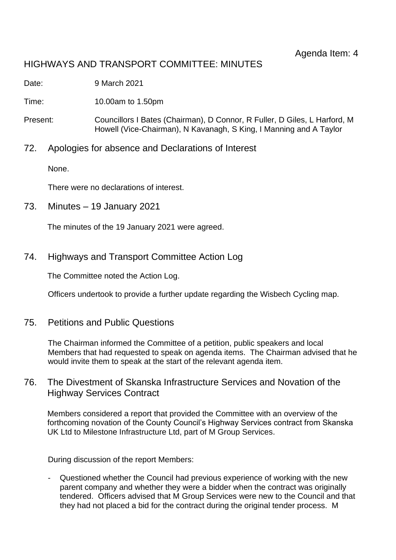# HIGHWAYS AND TRANSPORT COMMITTEE: MINUTES

Date: 9 March 2021

Time: 10.00am to 1.50pm

- Present: Councillors I Bates (Chairman), D Connor, R Fuller, D Giles, L Harford, M Howell (Vice-Chairman), N Kavanagh, S King, I Manning and A Taylor
- 72. Apologies for absence and Declarations of Interest

None.

There were no declarations of interest.

73. Minutes – 19 January 2021

The minutes of the 19 January 2021 were agreed.

74. Highways and Transport Committee Action Log

The Committee noted the Action Log.

Officers undertook to provide a further update regarding the Wisbech Cycling map.

75. Petitions and Public Questions

The Chairman informed the Committee of a petition, public speakers and local Members that had requested to speak on agenda items. The Chairman advised that he would invite them to speak at the start of the relevant agenda item.

### 76. The Divestment of Skanska Infrastructure Services and Novation of the Highway Services Contract

Members considered a report that provided the Committee with an overview of the forthcoming novation of the County Council's Highway Services contract from Skanska UK Ltd to Milestone Infrastructure Ltd, part of M Group Services.

During discussion of the report Members:

- Questioned whether the Council had previous experience of working with the new parent company and whether they were a bidder when the contract was originally tendered. Officers advised that M Group Services were new to the Council and that they had not placed a bid for the contract during the original tender process. M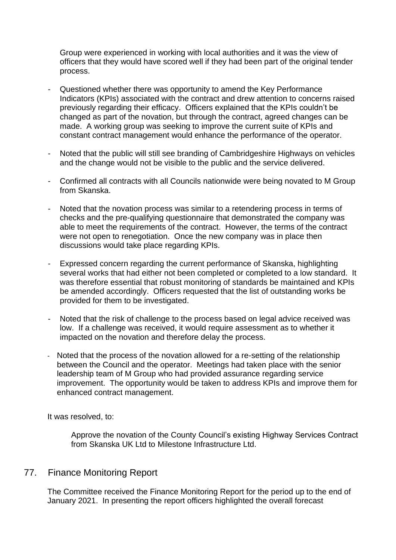Group were experienced in working with local authorities and it was the view of officers that they would have scored well if they had been part of the original tender process.

- Questioned whether there was opportunity to amend the Key Performance Indicators (KPIs) associated with the contract and drew attention to concerns raised previously regarding their efficacy. Officers explained that the KPIs couldn't be changed as part of the novation, but through the contract, agreed changes can be made. A working group was seeking to improve the current suite of KPIs and constant contract management would enhance the performance of the operator.
- Noted that the public will still see branding of Cambridgeshire Highways on vehicles and the change would not be visible to the public and the service delivered.
- Confirmed all contracts with all Councils nationwide were being novated to M Group from Skanska.
- Noted that the novation process was similar to a retendering process in terms of checks and the pre-qualifying questionnaire that demonstrated the company was able to meet the requirements of the contract. However, the terms of the contract were not open to renegotiation. Once the new company was in place then discussions would take place regarding KPIs.
- Expressed concern regarding the current performance of Skanska, highlighting several works that had either not been completed or completed to a low standard. It was therefore essential that robust monitoring of standards be maintained and KPIs be amended accordingly. Officers requested that the list of outstanding works be provided for them to be investigated.
- Noted that the risk of challenge to the process based on legal advice received was low. If a challenge was received, it would require assessment as to whether it impacted on the novation and therefore delay the process.
- Noted that the process of the novation allowed for a re-setting of the relationship between the Council and the operator. Meetings had taken place with the senior leadership team of M Group who had provided assurance regarding service improvement. The opportunity would be taken to address KPIs and improve them for enhanced contract management.

It was resolved, to:

Approve the novation of the County Council's existing Highway Services Contract from Skanska UK Ltd to Milestone Infrastructure Ltd.

### 77. Finance Monitoring Report

The Committee received the Finance Monitoring Report for the period up to the end of January 2021. In presenting the report officers highlighted the overall forecast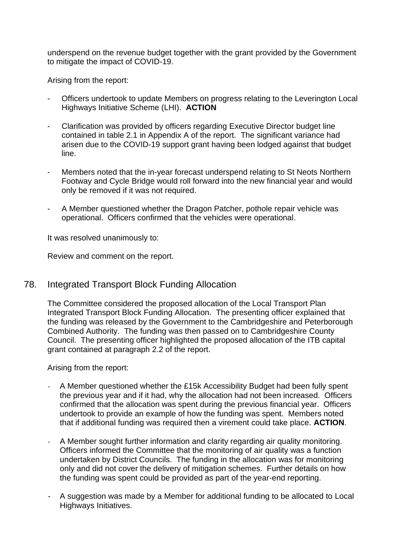underspend on the revenue budget together with the grant provided by the Government to mitigate the impact of COVID-19.

Arising from the report:

- Officers undertook to update Members on progress relating to the Leverington Local Highways Initiative Scheme (LHI). **ACTION**
- Clarification was provided by officers regarding Executive Director budget line contained in table 2.1 in Appendix A of the report. The significant variance had arisen due to the COVID-19 support grant having been lodged against that budget line.
- Members noted that the in-year forecast underspend relating to St Neots Northern Footway and Cycle Bridge would roll forward into the new financial year and would only be removed if it was not required.
- A Member questioned whether the Dragon Patcher, pothole repair vehicle was operational. Officers confirmed that the vehicles were operational.

It was resolved unanimously to:

Review and comment on the report.

### 78. Integrated Transport Block Funding Allocation

The Committee considered the proposed allocation of the Local Transport Plan Integrated Transport Block Funding Allocation. The presenting officer explained that the funding was released by the Government to the Cambridgeshire and Peterborough Combined Authority. The funding was then passed on to Cambridgeshire County Council. The presenting officer highlighted the proposed allocation of the ITB capital grant contained at paragraph 2.2 of the report.

Arising from the report:

- A Member questioned whether the £15k Accessibility Budget had been fully spent the previous year and if it had, why the allocation had not been increased. Officers confirmed that the allocation was spent during the previous financial year. Officers undertook to provide an example of how the funding was spent. Members noted that if additional funding was required then a virement could take place. **ACTION**.
- A Member sought further information and clarity regarding air quality monitoring. Officers informed the Committee that the monitoring of air quality was a function undertaken by District Councils. The funding in the allocation was for monitoring only and did not cover the delivery of mitigation schemes. Further details on how the funding was spent could be provided as part of the year-end reporting.
- A suggestion was made by a Member for additional funding to be allocated to Local Highways Initiatives.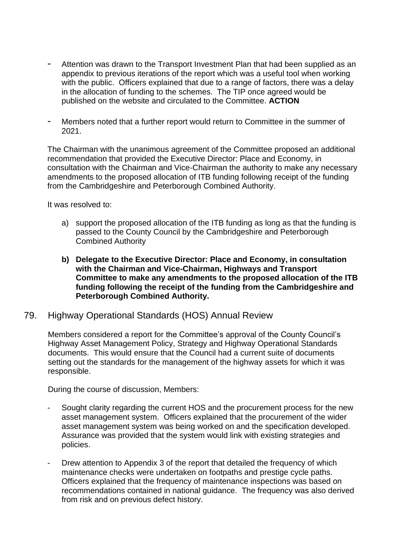- Attention was drawn to the Transport Investment Plan that had been supplied as an appendix to previous iterations of the report which was a useful tool when working with the public. Officers explained that due to a range of factors, there was a delay in the allocation of funding to the schemes. The TIP once agreed would be published on the website and circulated to the Committee. **ACTION**
- Members noted that a further report would return to Committee in the summer of 2021.

The Chairman with the unanimous agreement of the Committee proposed an additional recommendation that provided the Executive Director: Place and Economy, in consultation with the Chairman and Vice-Chairman the authority to make any necessary amendments to the proposed allocation of ITB funding following receipt of the funding from the Cambridgeshire and Peterborough Combined Authority.

It was resolved to:

- a) support the proposed allocation of the ITB funding as long as that the funding is passed to the County Council by the Cambridgeshire and Peterborough Combined Authority
- **b) Delegate to the Executive Director: Place and Economy, in consultation with the Chairman and Vice-Chairman, Highways and Transport Committee to make any amendments to the proposed allocation of the ITB funding following the receipt of the funding from the Cambridgeshire and Peterborough Combined Authority.**

### 79. Highway Operational Standards (HOS) Annual Review

Members considered a report for the Committee's approval of the County Council's Highway Asset Management Policy, Strategy and Highway Operational Standards documents. This would ensure that the Council had a current suite of documents setting out the standards for the management of the highway assets for which it was responsible.

During the course of discussion, Members:

- Sought clarity regarding the current HOS and the procurement process for the new asset management system. Officers explained that the procurement of the wider asset management system was being worked on and the specification developed. Assurance was provided that the system would link with existing strategies and policies.
- Drew attention to Appendix 3 of the report that detailed the frequency of which maintenance checks were undertaken on footpaths and prestige cycle paths. Officers explained that the frequency of maintenance inspections was based on recommendations contained in national guidance. The frequency was also derived from risk and on previous defect history.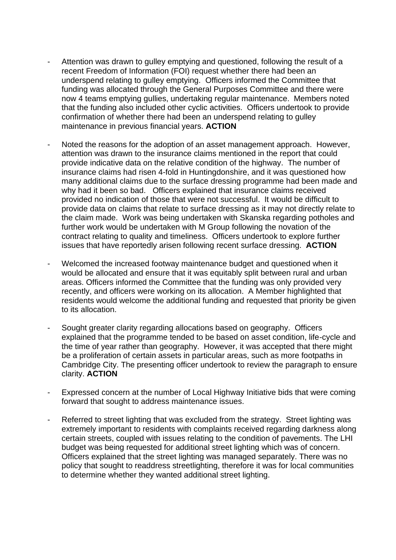- Attention was drawn to gulley emptying and questioned, following the result of a recent Freedom of Information (FOI) request whether there had been an underspend relating to gulley emptying. Officers informed the Committee that funding was allocated through the General Purposes Committee and there were now 4 teams emptying gullies, undertaking regular maintenance. Members noted that the funding also included other cyclic activities. Officers undertook to provide confirmation of whether there had been an underspend relating to gulley maintenance in previous financial years. **ACTION**
- Noted the reasons for the adoption of an asset management approach. However, attention was drawn to the insurance claims mentioned in the report that could provide indicative data on the relative condition of the highway. The number of insurance claims had risen 4-fold in Huntingdonshire, and it was questioned how many additional claims due to the surface dressing programme had been made and why had it been so bad. Officers explained that insurance claims received provided no indication of those that were not successful. It would be difficult to provide data on claims that relate to surface dressing as it may not directly relate to the claim made. Work was being undertaken with Skanska regarding potholes and further work would be undertaken with M Group following the novation of the contract relating to quality and timeliness. Officers undertook to explore further issues that have reportedly arisen following recent surface dressing. **ACTION**
- Welcomed the increased footway maintenance budget and questioned when it would be allocated and ensure that it was equitably split between rural and urban areas. Officers informed the Committee that the funding was only provided very recently, and officers were working on its allocation. A Member highlighted that residents would welcome the additional funding and requested that priority be given to its allocation.
- Sought greater clarity regarding allocations based on geography. Officers explained that the programme tended to be based on asset condition, life-cycle and the time of year rather than geography. However, it was accepted that there might be a proliferation of certain assets in particular areas, such as more footpaths in Cambridge City. The presenting officer undertook to review the paragraph to ensure clarity. **ACTION**
- Expressed concern at the number of Local Highway Initiative bids that were coming forward that sought to address maintenance issues.
- Referred to street lighting that was excluded from the strategy. Street lighting was extremely important to residents with complaints received regarding darkness along certain streets, coupled with issues relating to the condition of pavements. The LHI budget was being requested for additional street lighting which was of concern. Officers explained that the street lighting was managed separately. There was no policy that sought to readdress streetlighting, therefore it was for local communities to determine whether they wanted additional street lighting.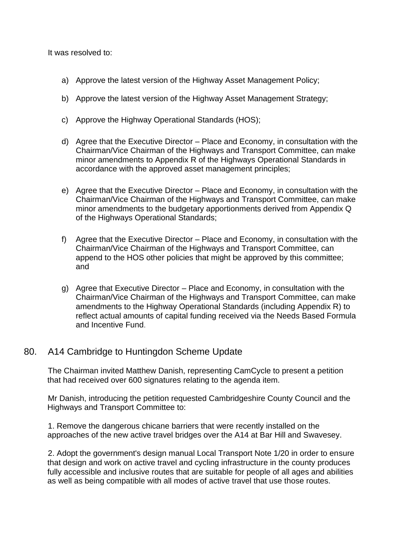It was resolved to:

- a) Approve the latest version of the Highway Asset Management Policy;
- b) Approve the latest version of the Highway Asset Management Strategy;
- c) Approve the Highway Operational Standards (HOS);
- d) Agree that the Executive Director Place and Economy, in consultation with the Chairman/Vice Chairman of the Highways and Transport Committee, can make minor amendments to Appendix R of the Highways Operational Standards in accordance with the approved asset management principles;
- e) Agree that the Executive Director Place and Economy, in consultation with the Chairman/Vice Chairman of the Highways and Transport Committee, can make minor amendments to the budgetary apportionments derived from Appendix Q of the Highways Operational Standards;
- f) Agree that the Executive Director Place and Economy, in consultation with the Chairman/Vice Chairman of the Highways and Transport Committee, can append to the HOS other policies that might be approved by this committee; and
- g) Agree that Executive Director Place and Economy, in consultation with the Chairman/Vice Chairman of the Highways and Transport Committee, can make amendments to the Highway Operational Standards (including Appendix R) to reflect actual amounts of capital funding received via the Needs Based Formula and Incentive Fund.

## 80. A14 Cambridge to Huntingdon Scheme Update

The Chairman invited Matthew Danish, representing CamCycle to present a petition that had received over 600 signatures relating to the agenda item.

Mr Danish, introducing the petition requested Cambridgeshire County Council and the Highways and Transport Committee to:

1. Remove the dangerous chicane barriers that were recently installed on the approaches of the new active travel bridges over the A14 at Bar Hill and Swavesey.

2. Adopt the government's design manual Local Transport Note 1/20 in order to ensure that design and work on active travel and cycling infrastructure in the county produces fully accessible and inclusive routes that are suitable for people of all ages and abilities as well as being compatible with all modes of active travel that use those routes.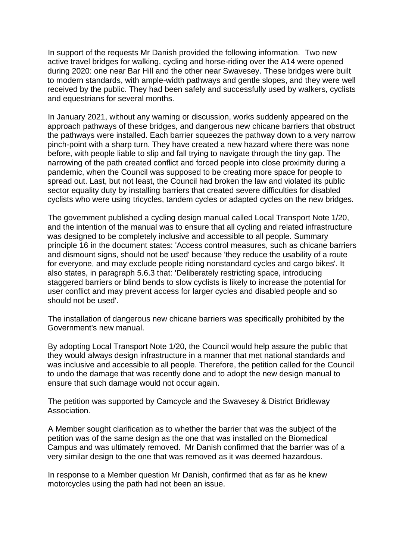In support of the requests Mr Danish provided the following information. Two new active travel bridges for walking, cycling and horse-riding over the A14 were opened during 2020: one near Bar Hill and the other near Swavesey. These bridges were built to modern standards, with ample-width pathways and gentle slopes, and they were well received by the public. They had been safely and successfully used by walkers, cyclists and equestrians for several months.

In January 2021, without any warning or discussion, works suddenly appeared on the approach pathways of these bridges, and dangerous new chicane barriers that obstruct the pathways were installed. Each barrier squeezes the pathway down to a very narrow pinch-point with a sharp turn. They have created a new hazard where there was none before, with people liable to slip and fall trying to navigate through the tiny gap. The narrowing of the path created conflict and forced people into close proximity during a pandemic, when the Council was supposed to be creating more space for people to spread out. Last, but not least, the Council had broken the law and violated its public sector equality duty by installing barriers that created severe difficulties for disabled cyclists who were using tricycles, tandem cycles or adapted cycles on the new bridges.

The government published a cycling design manual called Local Transport Note 1/20, and the intention of the manual was to ensure that all cycling and related infrastructure was designed to be completely inclusive and accessible to all people. Summary principle 16 in the document states: 'Access control measures, such as chicane barriers and dismount signs, should not be used' because 'they reduce the usability of a route for everyone, and may exclude people riding nonstandard cycles and cargo bikes'. It also states, in paragraph 5.6.3 that: 'Deliberately restricting space, introducing staggered barriers or blind bends to slow cyclists is likely to increase the potential for user conflict and may prevent access for larger cycles and disabled people and so should not be used'.

The installation of dangerous new chicane barriers was specifically prohibited by the Government's new manual.

By adopting Local Transport Note 1/20, the Council would help assure the public that they would always design infrastructure in a manner that met national standards and was inclusive and accessible to all people. Therefore, the petition called for the Council to undo the damage that was recently done and to adopt the new design manual to ensure that such damage would not occur again.

The petition was supported by Camcycle and the Swavesey & District Bridleway Association.

A Member sought clarification as to whether the barrier that was the subject of the petition was of the same design as the one that was installed on the Biomedical Campus and was ultimately removed. Mr Danish confirmed that the barrier was of a very similar design to the one that was removed as it was deemed hazardous.

In response to a Member question Mr Danish, confirmed that as far as he knew motorcycles using the path had not been an issue.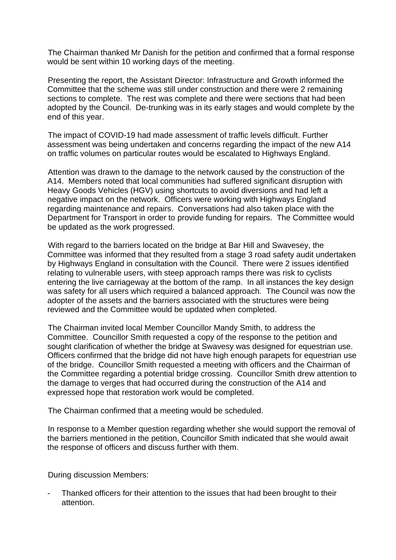The Chairman thanked Mr Danish for the petition and confirmed that a formal response would be sent within 10 working days of the meeting.

Presenting the report, the Assistant Director: Infrastructure and Growth informed the Committee that the scheme was still under construction and there were 2 remaining sections to complete. The rest was complete and there were sections that had been adopted by the Council. De-trunking was in its early stages and would complete by the end of this year.

The impact of COVID-19 had made assessment of traffic levels difficult. Further assessment was being undertaken and concerns regarding the impact of the new A14 on traffic volumes on particular routes would be escalated to Highways England.

Attention was drawn to the damage to the network caused by the construction of the A14. Members noted that local communities had suffered significant disruption with Heavy Goods Vehicles (HGV) using shortcuts to avoid diversions and had left a negative impact on the network. Officers were working with Highways England regarding maintenance and repairs. Conversations had also taken place with the Department for Transport in order to provide funding for repairs. The Committee would be updated as the work progressed.

With regard to the barriers located on the bridge at Bar Hill and Swavesey, the Committee was informed that they resulted from a stage 3 road safety audit undertaken by Highways England in consultation with the Council. There were 2 issues identified relating to vulnerable users, with steep approach ramps there was risk to cyclists entering the live carriageway at the bottom of the ramp. In all instances the key design was safety for all users which required a balanced approach. The Council was now the adopter of the assets and the barriers associated with the structures were being reviewed and the Committee would be updated when completed.

The Chairman invited local Member Councillor Mandy Smith, to address the Committee. Councillor Smith requested a copy of the response to the petition and sought clarification of whether the bridge at Swavesy was designed for equestrian use. Officers confirmed that the bridge did not have high enough parapets for equestrian use of the bridge. Councillor Smith requested a meeting with officers and the Chairman of the Committee regarding a potential bridge crossing. Councillor Smith drew attention to the damage to verges that had occurred during the construction of the A14 and expressed hope that restoration work would be completed.

The Chairman confirmed that a meeting would be scheduled.

In response to a Member question regarding whether she would support the removal of the barriers mentioned in the petition, Councillor Smith indicated that she would await the response of officers and discuss further with them.

During discussion Members:

Thanked officers for their attention to the issues that had been brought to their attention.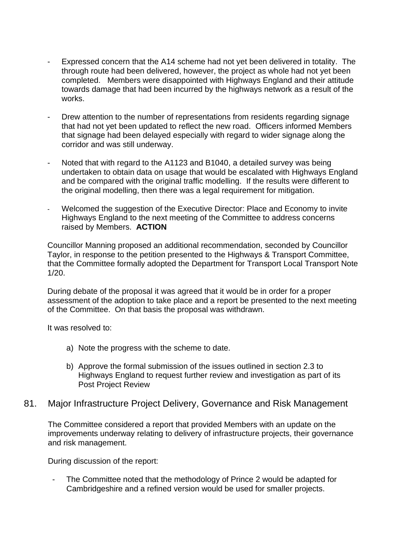- Expressed concern that the A14 scheme had not yet been delivered in totality. The through route had been delivered, however, the project as whole had not yet been completed. Members were disappointed with Highways England and their attitude towards damage that had been incurred by the highways network as a result of the works.
- Drew attention to the number of representations from residents regarding signage that had not yet been updated to reflect the new road. Officers informed Members that signage had been delayed especially with regard to wider signage along the corridor and was still underway.
- Noted that with regard to the A1123 and B1040, a detailed survey was being undertaken to obtain data on usage that would be escalated with Highways England and be compared with the original traffic modelling. If the results were different to the original modelling, then there was a legal requirement for mitigation.
- Welcomed the suggestion of the Executive Director: Place and Economy to invite Highways England to the next meeting of the Committee to address concerns raised by Members. **ACTION**

Councillor Manning proposed an additional recommendation, seconded by Councillor Taylor, in response to the petition presented to the Highways & Transport Committee, that the Committee formally adopted the Department for Transport Local Transport Note 1/20.

During debate of the proposal it was agreed that it would be in order for a proper assessment of the adoption to take place and a report be presented to the next meeting of the Committee. On that basis the proposal was withdrawn.

It was resolved to:

- a) Note the progress with the scheme to date.
- b) Approve the formal submission of the issues outlined in section 2.3 to Highways England to request further review and investigation as part of its Post Project Review

### 81. Major Infrastructure Project Delivery, Governance and Risk Management

The Committee considered a report that provided Members with an update on the improvements underway relating to delivery of infrastructure projects, their governance and risk management.

During discussion of the report:

The Committee noted that the methodology of Prince 2 would be adapted for Cambridgeshire and a refined version would be used for smaller projects.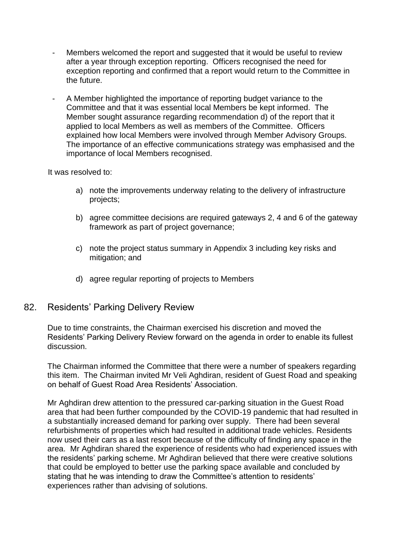- Members welcomed the report and suggested that it would be useful to review after a year through exception reporting. Officers recognised the need for exception reporting and confirmed that a report would return to the Committee in the future.
- A Member highlighted the importance of reporting budget variance to the Committee and that it was essential local Members be kept informed. The Member sought assurance regarding recommendation d) of the report that it applied to local Members as well as members of the Committee. Officers explained how local Members were involved through Member Advisory Groups. The importance of an effective communications strategy was emphasised and the importance of local Members recognised.

It was resolved to:

- a) note the improvements underway relating to the delivery of infrastructure projects;
- b) agree committee decisions are required gateways 2, 4 and 6 of the gateway framework as part of project governance;
- c) note the project status summary in Appendix 3 including key risks and mitigation; and
- d) agree regular reporting of projects to Members

#### 82. Residents' Parking Delivery Review

Due to time constraints, the Chairman exercised his discretion and moved the Residents' Parking Delivery Review forward on the agenda in order to enable its fullest discussion.

The Chairman informed the Committee that there were a number of speakers regarding this item. The Chairman invited Mr Veli Aghdiran, resident of Guest Road and speaking on behalf of Guest Road Area Residents' Association.

Mr Aghdiran drew attention to the pressured car-parking situation in the Guest Road area that had been further compounded by the COVID-19 pandemic that had resulted in a substantially increased demand for parking over supply. There had been several refurbishments of properties which had resulted in additional trade vehicles. Residents now used their cars as a last resort because of the difficulty of finding any space in the area. Mr Aghdiran shared the experience of residents who had experienced issues with the residents' parking scheme. Mr Aghdiran believed that there were creative solutions that could be employed to better use the parking space available and concluded by stating that he was intending to draw the Committee's attention to residents' experiences rather than advising of solutions.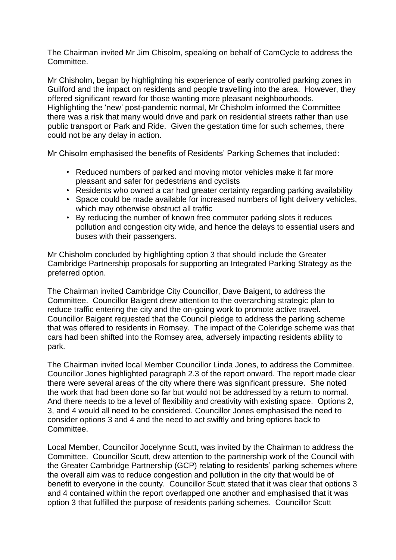The Chairman invited Mr Jim Chisolm, speaking on behalf of CamCycle to address the Committee.

Mr Chisholm, began by highlighting his experience of early controlled parking zones in Guilford and the impact on residents and people travelling into the area. However, they offered significant reward for those wanting more pleasant neighbourhoods. Highlighting the 'new' post-pandemic normal, Mr Chisholm informed the Committee there was a risk that many would drive and park on residential streets rather than use public transport or Park and Ride. Given the gestation time for such schemes, there could not be any delay in action.

Mr Chisolm emphasised the benefits of Residents' Parking Schemes that included:

- Reduced numbers of parked and moving motor vehicles make it far more pleasant and safer for pedestrians and cyclists
- Residents who owned a car had greater certainty regarding parking availability
- Space could be made available for increased numbers of light delivery vehicles, which may otherwise obstruct all traffic
- By reducing the number of known free commuter parking slots it reduces pollution and congestion city wide, and hence the delays to essential users and buses with their passengers.

Mr Chisholm concluded by highlighting option 3 that should include the Greater Cambridge Partnership proposals for supporting an Integrated Parking Strategy as the preferred option.

The Chairman invited Cambridge City Councillor, Dave Baigent, to address the Committee. Councillor Baigent drew attention to the overarching strategic plan to reduce traffic entering the city and the on-going work to promote active travel. Councillor Baigent requested that the Council pledge to address the parking scheme that was offered to residents in Romsey. The impact of the Coleridge scheme was that cars had been shifted into the Romsey area, adversely impacting residents ability to park.

The Chairman invited local Member Councillor Linda Jones, to address the Committee. Councillor Jones highlighted paragraph 2.3 of the report onward. The report made clear there were several areas of the city where there was significant pressure. She noted the work that had been done so far but would not be addressed by a return to normal. And there needs to be a level of flexibility and creativity with existing space. Options 2, 3, and 4 would all need to be considered. Councillor Jones emphasised the need to consider options 3 and 4 and the need to act swiftly and bring options back to Committee.

Local Member, Councillor Jocelynne Scutt, was invited by the Chairman to address the Committee. Councillor Scutt, drew attention to the partnership work of the Council with the Greater Cambridge Partnership (GCP) relating to residents' parking schemes where the overall aim was to reduce congestion and pollution in the city that would be of benefit to everyone in the county. Councillor Scutt stated that it was clear that options 3 and 4 contained within the report overlapped one another and emphasised that it was option 3 that fulfilled the purpose of residents parking schemes. Councillor Scutt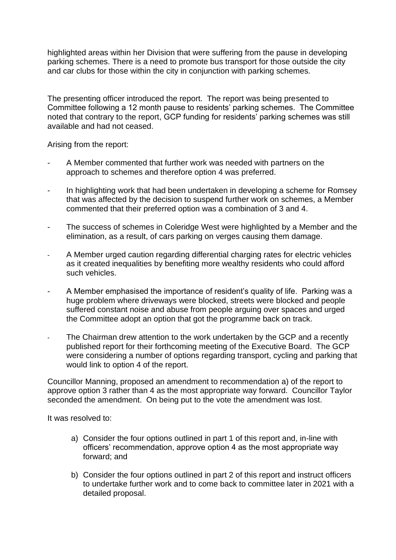highlighted areas within her Division that were suffering from the pause in developing parking schemes. There is a need to promote bus transport for those outside the city and car clubs for those within the city in conjunction with parking schemes.

The presenting officer introduced the report. The report was being presented to Committee following a 12 month pause to residents' parking schemes. The Committee noted that contrary to the report, GCP funding for residents' parking schemes was still available and had not ceased.

Arising from the report:

- A Member commented that further work was needed with partners on the approach to schemes and therefore option 4 was preferred.
- In highlighting work that had been undertaken in developing a scheme for Romsey that was affected by the decision to suspend further work on schemes, a Member commented that their preferred option was a combination of 3 and 4.
- The success of schemes in Coleridge West were highlighted by a Member and the elimination, as a result, of cars parking on verges causing them damage.
- A Member urged caution regarding differential charging rates for electric vehicles as it created inequalities by benefiting more wealthy residents who could afford such vehicles.
- A Member emphasised the importance of resident's quality of life. Parking was a huge problem where driveways were blocked, streets were blocked and people suffered constant noise and abuse from people arguing over spaces and urged the Committee adopt an option that got the programme back on track.
- The Chairman drew attention to the work undertaken by the GCP and a recently published report for their forthcoming meeting of the Executive Board. The GCP were considering a number of options regarding transport, cycling and parking that would link to option 4 of the report.

Councillor Manning, proposed an amendment to recommendation a) of the report to approve option 3 rather than 4 as the most appropriate way forward. Councillor Taylor seconded the amendment. On being put to the vote the amendment was lost.

It was resolved to:

- a) Consider the four options outlined in part 1 of this report and, in-line with officers' recommendation, approve option 4 as the most appropriate way forward; and
- b) Consider the four options outlined in part 2 of this report and instruct officers to undertake further work and to come back to committee later in 2021 with a detailed proposal.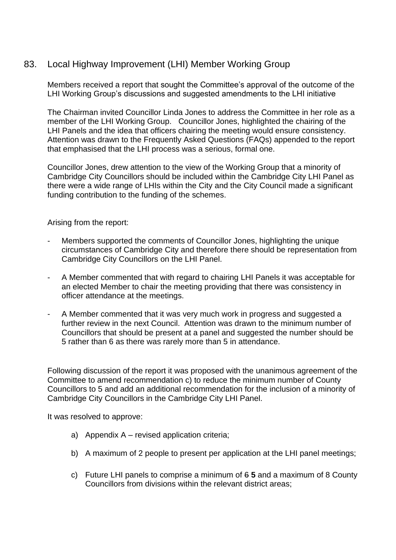## 83. Local Highway Improvement (LHI) Member Working Group

Members received a report that sought the Committee's approval of the outcome of the LHI Working Group's discussions and suggested amendments to the LHI initiative

The Chairman invited Councillor Linda Jones to address the Committee in her role as a member of the LHI Working Group. Councillor Jones, highlighted the chairing of the LHI Panels and the idea that officers chairing the meeting would ensure consistency. Attention was drawn to the Frequently Asked Questions (FAQs) appended to the report that emphasised that the LHI process was a serious, formal one.

Councillor Jones, drew attention to the view of the Working Group that a minority of Cambridge City Councillors should be included within the Cambridge City LHI Panel as there were a wide range of LHIs within the City and the City Council made a significant funding contribution to the funding of the schemes.

Arising from the report:

- Members supported the comments of Councillor Jones, highlighting the unique circumstances of Cambridge City and therefore there should be representation from Cambridge City Councillors on the LHI Panel.
- A Member commented that with regard to chairing LHI Panels it was acceptable for an elected Member to chair the meeting providing that there was consistency in officer attendance at the meetings.
- A Member commented that it was very much work in progress and suggested a further review in the next Council. Attention was drawn to the minimum number of Councillors that should be present at a panel and suggested the number should be 5 rather than 6 as there was rarely more than 5 in attendance.

Following discussion of the report it was proposed with the unanimous agreement of the Committee to amend recommendation c) to reduce the minimum number of County Councillors to 5 and add an additional recommendation for the inclusion of a minority of Cambridge City Councillors in the Cambridge City LHI Panel.

It was resolved to approve:

- a) Appendix A revised application criteria;
- b) A maximum of 2 people to present per application at the LHI panel meetings;
- c) Future LHI panels to comprise a minimum of 6 **5** and a maximum of 8 County Councillors from divisions within the relevant district areas;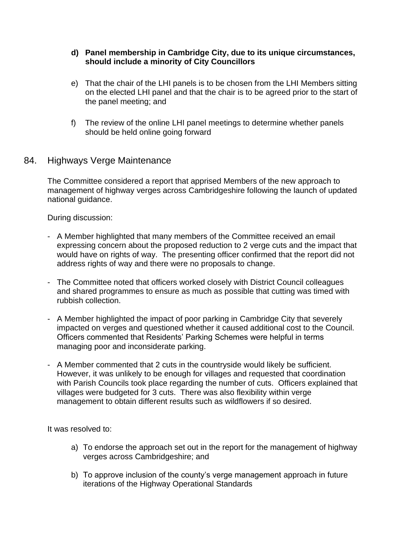#### **d) Panel membership in Cambridge City, due to its unique circumstances, should include a minority of City Councillors**

- e) That the chair of the LHI panels is to be chosen from the LHI Members sitting on the elected LHI panel and that the chair is to be agreed prior to the start of the panel meeting; and
- f) The review of the online LHI panel meetings to determine whether panels should be held online going forward

## 84. Highways Verge Maintenance

The Committee considered a report that apprised Members of the new approach to management of highway verges across Cambridgeshire following the launch of updated national guidance.

During discussion:

- A Member highlighted that many members of the Committee received an email expressing concern about the proposed reduction to 2 verge cuts and the impact that would have on rights of way. The presenting officer confirmed that the report did not address rights of way and there were no proposals to change.
- The Committee noted that officers worked closely with District Council colleagues and shared programmes to ensure as much as possible that cutting was timed with rubbish collection.
- A Member highlighted the impact of poor parking in Cambridge City that severely impacted on verges and questioned whether it caused additional cost to the Council. Officers commented that Residents' Parking Schemes were helpful in terms managing poor and inconsiderate parking.
- A Member commented that 2 cuts in the countryside would likely be sufficient. However, it was unlikely to be enough for villages and requested that coordination with Parish Councils took place regarding the number of cuts. Officers explained that villages were budgeted for 3 cuts. There was also flexibility within verge management to obtain different results such as wildflowers if so desired.

It was resolved to:

- a) To endorse the approach set out in the report for the management of highway verges across Cambridgeshire; and
- b) To approve inclusion of the county's verge management approach in future iterations of the Highway Operational Standards